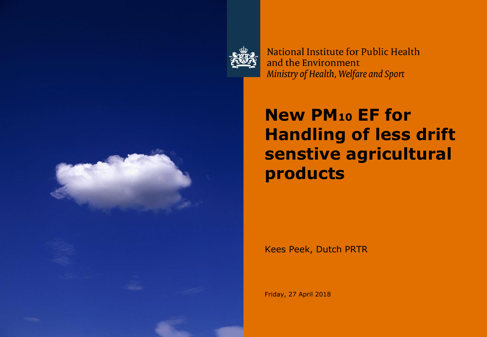

National Institute for Public Health and the Environment Ministry of Health, Welfare and Sport

### **New PM<sup>10</sup> EF for Handling of less drift senstive agricultural products**

Kees Peek, Dutch PRTR

Friday, 27 April 2018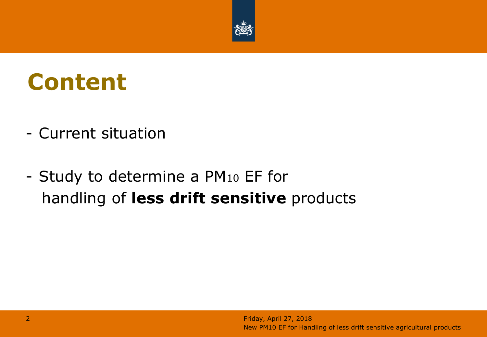

# **Content**

- Current situation
- Study to determine a PM<sup>10</sup> EF for handling of **less drift sensitive** products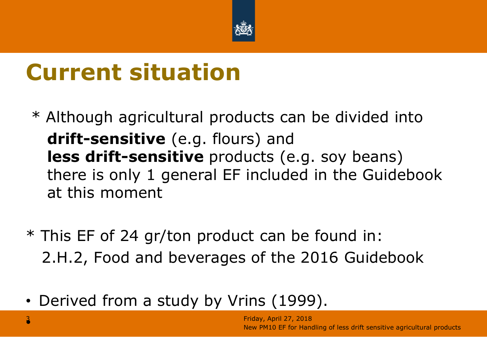

# **Current situation**

- \* Although agricultural products can be divided into **drift-sensitive** (e.g. flours) and **less drift-sensitive** products (e.g. soy beans) there is only 1 general EF included in the Guidebook at this moment
- \* This EF of 24 gr/ton product can be found in: 2.H.2, Food and beverages of the 2016 Guidebook
- Derived from a study by Vrins (1999).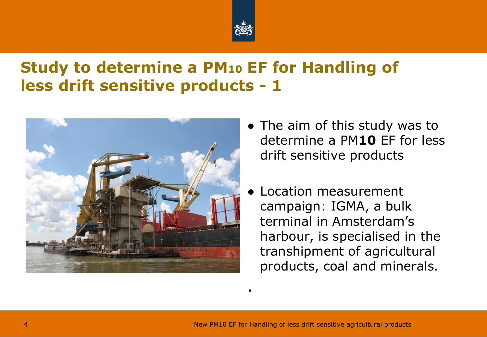

#### **Study to determine a PM<sup>10</sup> EF for Handling of less drift sensitive products - 1**



- The aim of this study was to determine a PM**10** EF for less drift sensitive products
- Location measurement campaign: IGMA, a bulk terminal in Amsterdam's harbour, is specialised in the transhipment of agricultural products, coal and minerals.

.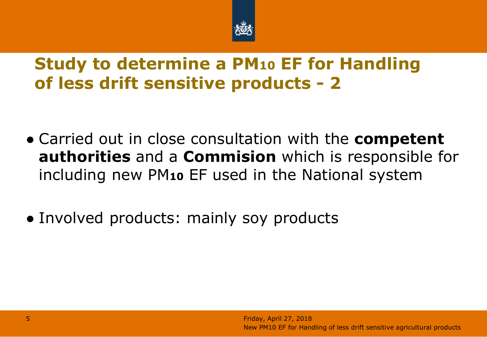

#### **Study to determine a PM<sup>10</sup> EF for Handling of less drift sensitive products - 2**

- Carried out in close consultation with the **competent authorities** and a **Commision** which is responsible for including new PM**<sup>10</sup>** EF used in the National system
- Involved products: mainly soy products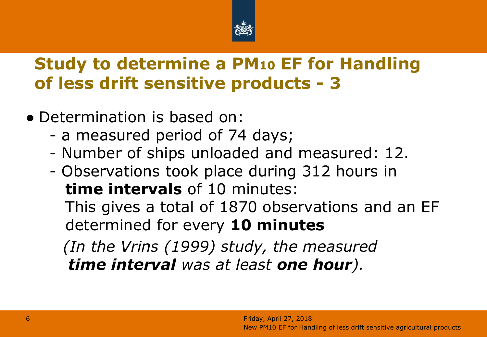

#### **Study to determine a PM<sup>10</sup> EF for Handling of less drift sensitive products - 3**

- Determination is based on:
	- a measured period of 74 days;
	- Number of ships unloaded and measured: 12.
	- Observations took place during 312 hours in **time intervals** of 10 minutes: This gives a total of 1870 observations and an EF determined for every **10 minutes**

*(In the Vrins (1999) study, the measured time interval was at least one hour).*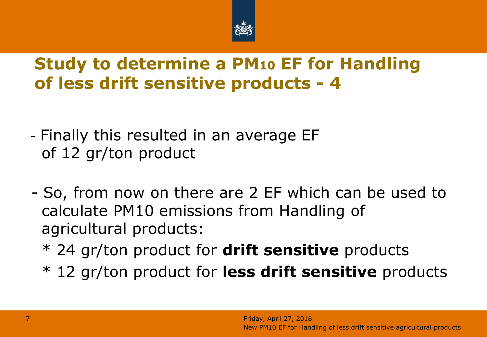

#### **Study to determine a PM<sup>10</sup> EF for Handling of less drift sensitive products - 4**

- Finally this resulted in an average EF of 12 gr/ton product
- So, from now on there are 2 EF which can be used to calculate PM10 emissions from Handling of agricultural products:
	- \* 24 gr/ton product for **drift sensitive** products
	- \* 12 gr/ton product for **less drift sensitive** products